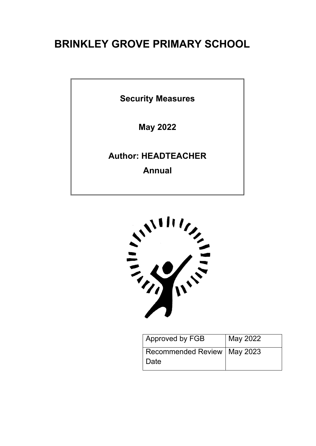# **BRINKLEY GROVE PRIMARY SCHOOL**

**Security Measures**

**May 2022**

**Author: HEADTEACHER**

**Annual**



| Approved by FGB               | May 2022 |
|-------------------------------|----------|
| Recommended Review   May 2023 |          |
| ∣ Date                        |          |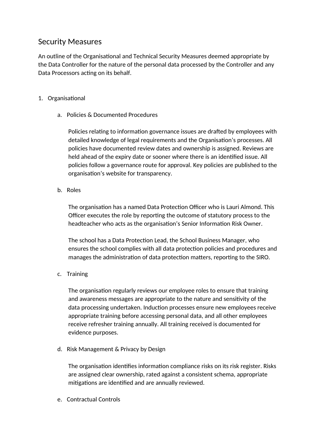## Security Measures

An outline of the Organisational and Technical Security Measures deemed appropriate by the Data Controller for the nature of the personal data processed by the Controller and any Data Processors acting on its behalf.

### 1. Organisational

a. Policies & Documented Procedures

Policies relating to information governance issues are drafted by employees with detailed knowledge of legal requirements and the Organisation's processes. All policies have documented review dates and ownership is assigned. Reviews are held ahead of the expiry date or sooner where there is an identified issue. All policies follow a governance route for approval. Key policies are published to the organisation's website for transparency.

b. Roles

The organisation has a named Data Protection Officer who is Lauri Almond. This Officer executes the role by reporting the outcome of statutory process to the headteacher who acts as the organisation's Senior Information Risk Owner.

The school has a Data Protection Lead, the School Business Manager, who ensures the school complies with all data protection policies and procedures and manages the administration of data protection matters, reporting to the SIRO.

c. Training

The organisation regularly reviews our employee roles to ensure that training and awareness messages are appropriate to the nature and sensitivity of the data processing undertaken. Induction processes ensure new employees receive appropriate training before accessing personal data, and all other employees receive refresher training annually. All training received is documented for evidence purposes.

d. Risk Management & Privacy by Design

The organisation identifies information compliance risks on its risk register. Risks are assigned clear ownership, rated against a consistent schema, appropriate mitigations are identified and are annually reviewed.

e. Contractual Controls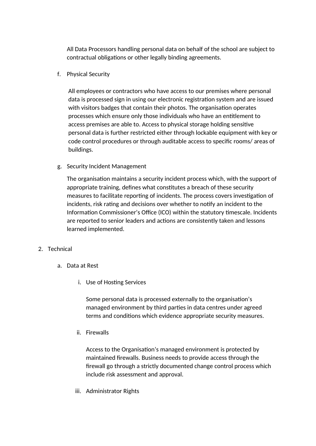All Data Processors handling personal data on behalf of the school are subject to contractual obligations or other legally binding agreements.

f. Physical Security

All employees or contractors who have access to our premises where personal data is processed sign in using our electronic registration system and are issued with visitors badges that contain their photos. The organisation operates processes which ensure only those individuals who have an entitlement to access premises are able to. Access to physical storage holding sensitive personal data is further restricted either through lockable equipment with key or code control procedures or through auditable access to specific rooms/ areas of buildings.

g. Security Incident Management

The organisation maintains a security incident process which, with the support of appropriate training, defines what constitutes a breach of these security measures to facilitate reporting of incidents. The process covers investigation of incidents, risk rating and decisions over whether to notify an incident to the Information Commissioner's Office (ICO) within the statutory timescale. Incidents are reported to senior leaders and actions are consistently taken and lessons learned implemented.

- 2. Technical
	- a. Data at Rest
		- i. Use of Hosting Services

Some personal data is processed externally to the organisation's managed environment by third parties in data centres under agreed terms and conditions which evidence appropriate security measures.

ii. Firewalls

Access to the Organisation's managed environment is protected by maintained firewalls. Business needs to provide access through the firewall go through a strictly documented change control process which include risk assessment and approval.

iii. Administrator Rights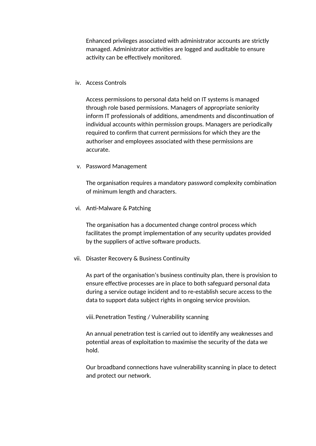Enhanced privileges associated with administrator accounts are strictly managed. Administrator activities are logged and auditable to ensure activity can be effectively monitored.

#### iv. Access Controls

Access permissions to personal data held on IT systems is managed through role based permissions. Managers of appropriate seniority inform IT professionals of additions, amendments and discontinuation of individual accounts within permission groups. Managers are periodically required to confirm that current permissions for which they are the authoriser and employees associated with these permissions are accurate.

#### v. Password Management

The organisation requires a mandatory password complexity combination of minimum length and characters.

vi. Anti-Malware & Patching

The organisation has a documented change control process which facilitates the prompt implementation of any security updates provided by the suppliers of active software products.

#### vii. Disaster Recovery & Business Continuity

As part of the organisation's business continuity plan, there is provision to ensure effective processes are in place to both safeguard personal data during a service outage incident and to re-establish secure access to the data to support data subject rights in ongoing service provision.

#### viii.Penetration Testing / Vulnerability scanning

An annual penetration test is carried out to identify any weaknesses and potential areas of exploitation to maximise the security of the data we hold.

Our broadband connections have vulnerability scanning in place to detect and protect our network.